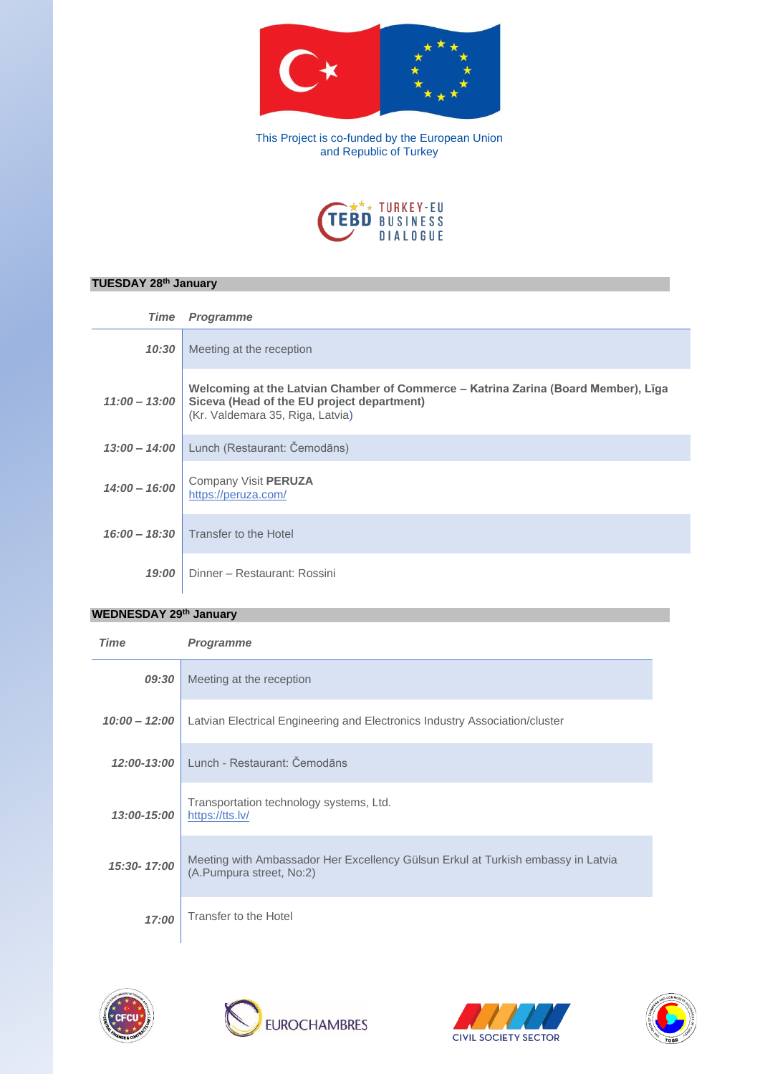

This Project is co-funded by the European Union and Republic of Turkey



## **TUESDAY 28th January**

| <b>Time</b>     | <b>Programme</b>                                                                                                                                                                     |
|-----------------|--------------------------------------------------------------------------------------------------------------------------------------------------------------------------------------|
| 10:30           | Meeting at the reception                                                                                                                                                             |
|                 | Welcoming at the Latvian Chamber of Commerce – Katrina Zarina (Board Member), Līga<br>11:00 - 13:00   Siceva (Head of the EU project department)<br>(Kr. Valdemara 35, Riga, Latvia) |
|                 | 13:00 - 14:00 Lunch (Restaurant: Čemodāns)                                                                                                                                           |
| $14:00 - 16:00$ | Company Visit PERUZA<br>https://peruza.com/                                                                                                                                          |
|                 | 16:00 - 18:30 Transfer to the Hotel                                                                                                                                                  |
| 19:00           | Dinner - Restaurant: Rossini                                                                                                                                                         |

## **WEDNESDAY 29th January**

| <b>Time</b>     | <b>Programme</b>                                                                                             |
|-----------------|--------------------------------------------------------------------------------------------------------------|
| 09:30           | Meeting at the reception                                                                                     |
| $10:00 - 12:00$ | Latvian Electrical Engineering and Electronics Industry Association/cluster                                  |
| 12:00-13:00     | Lunch - Restaurant: Čemodāns                                                                                 |
| 13:00-15:00     | Transportation technology systems, Ltd.<br>https://tts.lv/                                                   |
| 15:30-17:00     | Meeting with Ambassador Her Excellency Gülsun Erkul at Turkish embassy in Latvia<br>(A.Pumpura street, No:2) |
| 17:00           | Transfer to the Hotel                                                                                        |